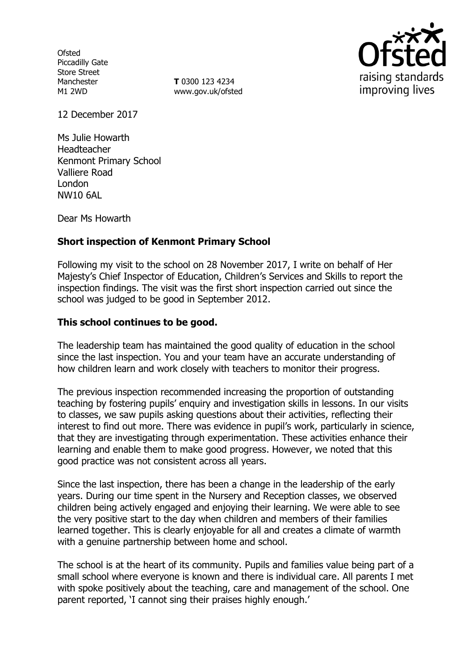**Ofsted** Piccadilly Gate Store Street Manchester M1 2WD

**T** 0300 123 4234 www.gov.uk/ofsted



12 December 2017

Ms Julie Howarth Headteacher Kenmont Primary School Valliere Road London NW10 6AL

Dear Ms Howarth

### **Short inspection of Kenmont Primary School**

Following my visit to the school on 28 November 2017, I write on behalf of Her Majesty's Chief Inspector of Education, Children's Services and Skills to report the inspection findings. The visit was the first short inspection carried out since the school was judged to be good in September 2012.

#### **This school continues to be good.**

The leadership team has maintained the good quality of education in the school since the last inspection. You and your team have an accurate understanding of how children learn and work closely with teachers to monitor their progress.

The previous inspection recommended increasing the proportion of outstanding teaching by fostering pupils' enquiry and investigation skills in lessons. In our visits to classes, we saw pupils asking questions about their activities, reflecting their interest to find out more. There was evidence in pupil's work, particularly in science, that they are investigating through experimentation. These activities enhance their learning and enable them to make good progress. However, we noted that this good practice was not consistent across all years.

Since the last inspection, there has been a change in the leadership of the early years. During our time spent in the Nursery and Reception classes, we observed children being actively engaged and enjoying their learning. We were able to see the very positive start to the day when children and members of their families learned together. This is clearly enjoyable for all and creates a climate of warmth with a genuine partnership between home and school.

The school is at the heart of its community. Pupils and families value being part of a small school where everyone is known and there is individual care. All parents I met with spoke positively about the teaching, care and management of the school. One parent reported, 'I cannot sing their praises highly enough.'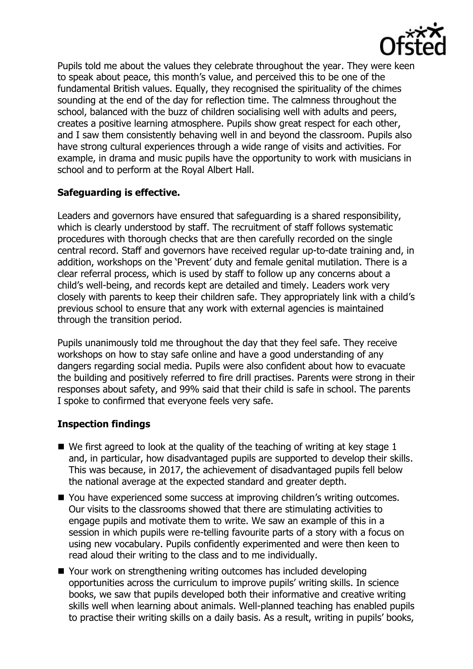

Pupils told me about the values they celebrate throughout the year. They were keen to speak about peace, this month's value, and perceived this to be one of the fundamental British values. Equally, they recognised the spirituality of the chimes sounding at the end of the day for reflection time. The calmness throughout the school, balanced with the buzz of children socialising well with adults and peers, creates a positive learning atmosphere. Pupils show great respect for each other, and I saw them consistently behaving well in and beyond the classroom. Pupils also have strong cultural experiences through a wide range of visits and activities. For example, in drama and music pupils have the opportunity to work with musicians in school and to perform at the Royal Albert Hall.

# **Safeguarding is effective.**

Leaders and governors have ensured that safeguarding is a shared responsibility, which is clearly understood by staff. The recruitment of staff follows systematic procedures with thorough checks that are then carefully recorded on the single central record. Staff and governors have received regular up-to-date training and, in addition, workshops on the 'Prevent' duty and female genital mutilation. There is a clear referral process, which is used by staff to follow up any concerns about a child's well-being, and records kept are detailed and timely. Leaders work very closely with parents to keep their children safe. They appropriately link with a child's previous school to ensure that any work with external agencies is maintained through the transition period.

Pupils unanimously told me throughout the day that they feel safe. They receive workshops on how to stay safe online and have a good understanding of any dangers regarding social media. Pupils were also confident about how to evacuate the building and positively referred to fire drill practises. Parents were strong in their responses about safety, and 99% said that their child is safe in school. The parents I spoke to confirmed that everyone feels very safe.

# **Inspection findings**

- $\blacksquare$  We first agreed to look at the quality of the teaching of writing at key stage 1 and, in particular, how disadvantaged pupils are supported to develop their skills. This was because, in 2017, the achievement of disadvantaged pupils fell below the national average at the expected standard and greater depth.
- You have experienced some success at improving children's writing outcomes. Our visits to the classrooms showed that there are stimulating activities to engage pupils and motivate them to write. We saw an example of this in a session in which pupils were re-telling favourite parts of a story with a focus on using new vocabulary. Pupils confidently experimented and were then keen to read aloud their writing to the class and to me individually.
- Your work on strengthening writing outcomes has included developing opportunities across the curriculum to improve pupils' writing skills. In science books, we saw that pupils developed both their informative and creative writing skills well when learning about animals. Well-planned teaching has enabled pupils to practise their writing skills on a daily basis. As a result, writing in pupils' books,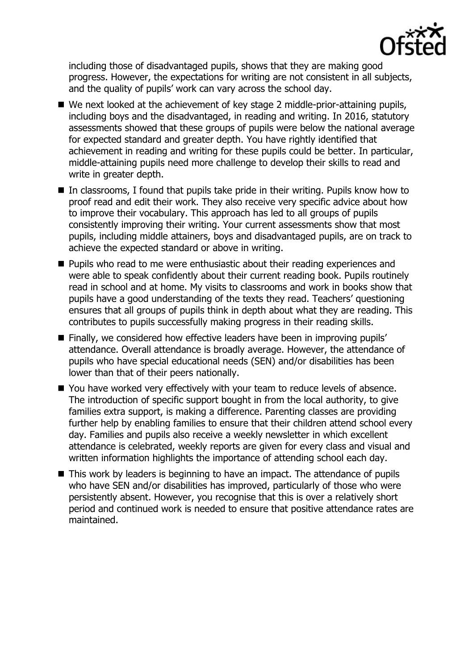

including those of disadvantaged pupils, shows that they are making good progress. However, the expectations for writing are not consistent in all subjects, and the quality of pupils' work can vary across the school day.

- We next looked at the achievement of key stage 2 middle-prior-attaining pupils, including boys and the disadvantaged, in reading and writing. In 2016, statutory assessments showed that these groups of pupils were below the national average for expected standard and greater depth. You have rightly identified that achievement in reading and writing for these pupils could be better. In particular, middle-attaining pupils need more challenge to develop their skills to read and write in greater depth.
- In classrooms, I found that pupils take pride in their writing. Pupils know how to proof read and edit their work. They also receive very specific advice about how to improve their vocabulary. This approach has led to all groups of pupils consistently improving their writing. Your current assessments show that most pupils, including middle attainers, boys and disadvantaged pupils, are on track to achieve the expected standard or above in writing.
- **Pupils who read to me were enthusiastic about their reading experiences and** were able to speak confidently about their current reading book. Pupils routinely read in school and at home. My visits to classrooms and work in books show that pupils have a good understanding of the texts they read. Teachers' questioning ensures that all groups of pupils think in depth about what they are reading. This contributes to pupils successfully making progress in their reading skills.
- **Finally, we considered how effective leaders have been in improving pupils'** attendance. Overall attendance is broadly average. However, the attendance of pupils who have special educational needs (SEN) and/or disabilities has been lower than that of their peers nationally.
- You have worked very effectively with your team to reduce levels of absence. The introduction of specific support bought in from the local authority, to give families extra support, is making a difference. Parenting classes are providing further help by enabling families to ensure that their children attend school every day. Families and pupils also receive a weekly newsletter in which excellent attendance is celebrated, weekly reports are given for every class and visual and written information highlights the importance of attending school each day.
- This work by leaders is beginning to have an impact. The attendance of pupils who have SEN and/or disabilities has improved, particularly of those who were persistently absent. However, you recognise that this is over a relatively short period and continued work is needed to ensure that positive attendance rates are maintained.